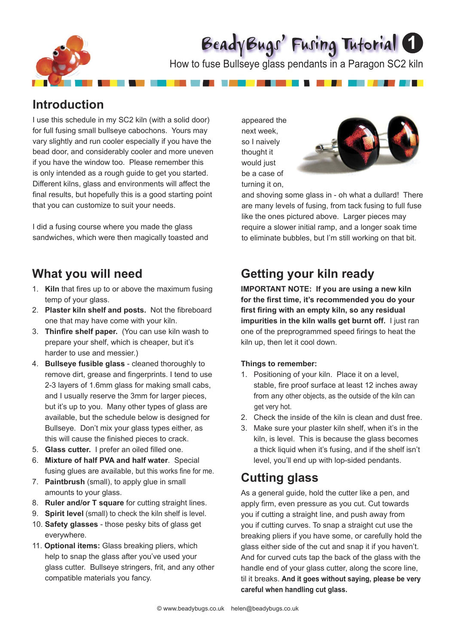

# BeadyBugs' Fusing Tutorial **1**

How to fuse Bullseye glass pendants in a Paragon SC2 kiln

### **Introduction**

I use this schedule in my SC2 kiln (with a solid door) for full fusing small bullseye cabochons. Yours may vary slightly and run cooler especially if you have the bead door, and considerably cooler and more uneven if you have the window too. Please remember this is only intended as a rough guide to get you started. Different kilns, glass and environments will affect the final results, but hopefully this is a good starting point that you can customize to suit your needs.

I did a fusing course where you made the glass sandwiches, which were then magically toasted and

### **What you will need**

- 1. **Kiln** that fires up to or above the maximum fusing temp of your glass.
- 2. **Plaster kiln shelf and posts.** Not the fibreboard one that may have come with your kiln.
- 3. **Thinfire shelf paper.** (You can use kiln wash to prepare your shelf, which is cheaper, but it's harder to use and messier.)
- 4. **Bullseye fusible glass**  cleaned thoroughly to remove dirt, grease and fingerprints. I tend to use 2-3 layers of 1.6mm glass for making small cabs, and I usually reserve the 3mm for larger pieces, but it's up to you. Many other types of glass are available, but the schedule below is designed for Bullseye. Don't mix your glass types either, as this will cause the finished pieces to crack.
- 5. **Glass cutter.** I prefer an oiled filled one.
- 6. **Mixture of half PVA and half water**. Special fusing glues are available, but this works fine for me.
- 7. **Paintbrush** (small), to apply glue in small amounts to your glass.
- 8. **Ruler and/or T square** for cutting straight lines.
- 9. **Spirit level** (small) to check the kiln shelf is level.
- 10. **Safety glasses** those pesky bits of glass get everywhere.
- 11. **Optional items:** Glass breaking pliers, which help to snap the glass after you've used your glass cutter. Bullseye stringers, frit, and any other compatible materials you fancy.

appeared the next week, so I naively thought it would just be a case of turning it on,

\_\_\_\_\_\_\_\_\_\_\_\_\_\_\_\_\_



and shoving some glass in - oh what a dullard! There are many levels of fusing, from tack fusing to full fuse like the ones pictured above. Larger pieces may require a slower initial ramp, and a longer soak time to eliminate bubbles, but I'm still working on that bit.

### **Getting your kiln ready**

**IMPORTANT NOTE: If you are using a new kiln**  for the first time, it's recommended you do your first firing with an empty kiln, so any residual **impurities in the kiln walls get burnt off.** I just ran one of the preprogrammed speed firings to heat the kiln up, then let it cool down.

#### **Things to remember:**

- 1. Positioning of your kiln. Place it on a level, stable, fire proof surface at least 12 inches away from any other objects, as the outside of the kiln can get very hot.
- 2. Check the inside of the kiln is clean and dust free.
- 3. Make sure your plaster kiln shelf, when it's in the kiln, is level. This is because the glass becomes a thick liquid when it's fusing, and if the shelf isn't level, you'll end up with lop-sided pendants.

### **Cutting glass**

As a general guide, hold the cutter like a pen, and apply firm, even pressure as you cut. Cut towards you if cutting a straight line, and push away from you if cutting curves. To snap a straight cut use the breaking pliers if you have some, or carefully hold the glass either side of the cut and snap it if you haven't. And for curved cuts tap the back of the glass with the handle end of your glass cutter, along the score line, til it breaks. **And it goes without saying, please be very careful when handling cut glass.**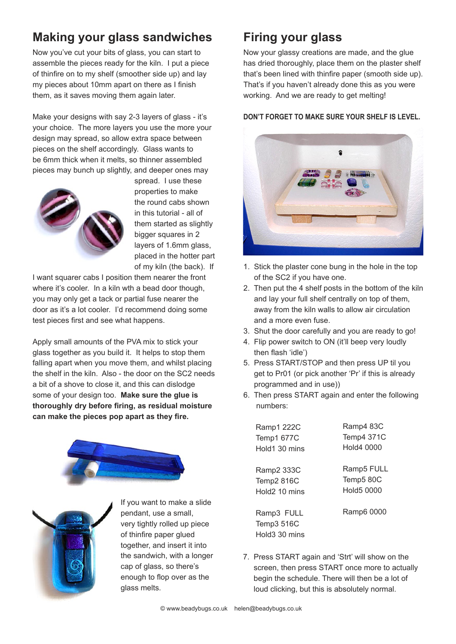# **Making your glass sandwiches**

Now you've cut your bits of glass, you can start to assemble the pieces ready for the kiln. I put a piece of thinfire on to my shelf (smoother side up) and lay my pieces about 10mm apart on there as I finish them, as it saves moving them again later.

Make your designs with say 2-3 layers of glass - it's your choice. The more layers you use the more your design may spread, so allow extra space between pieces on the shelf accordingly. Glass wants to be 6mm thick when it melts, so thinner assembled pieces may bunch up slightly, and deeper ones may



spread. I use these properties to make the round cabs shown in this tutorial - all of them started as slightly bigger squares in 2 layers of 1.6mm glass, placed in the hotter part of my kiln (the back). If

I want squarer cabs I position them nearer the front where it's cooler. In a kiln wth a bead door though, you may only get a tack or partial fuse nearer the door as it's a lot cooler. I'd recommend doing some test pieces first and see what happens.

Apply small amounts of the PVA mix to stick your glass together as you build it. It helps to stop them falling apart when you move them, and whilst placing the shelf in the kiln. Also - the door on the SC2 needs a bit of a shove to close it, and this can dislodge some of your design too. **Make sure the glue is thoroughly dry before firing, as residual moisture can make the pieces pop apart as they fire.**





If you want to make a slide pendant, use a small, very tightly rolled up piece of thinfire paper glued together, and insert it into the sandwich, with a longer cap of glass, so there's enough to flop over as the glass melts.

## **Firing your glass**

Now your glassy creations are made, and the glue has dried thoroughly, place them on the plaster shelf that's been lined with thinfire paper (smooth side up). That's if you haven't already done this as you were working. And we are ready to get melting!

#### **DON'T FORGET TO MAKE SURE YOUR SHELF IS LEVEL.**



- 1. Stick the plaster cone bung in the hole in the top of the SC2 if you have one.
- 2. Then put the 4 shelf posts in the bottom of the kiln and lay your full shelf centrally on top of them, away from the kiln walls to allow air circulation and a more even fuse.
- 3. Shut the door carefully and you are ready to go!
- 4. Flip power switch to ON (it'll beep very loudly then flash 'idle')
- 5. Press START/STOP and then press UP til you get to Pr01 (or pick another 'Pr' if this is already programmed and in use))
- 6. Then press START again and enter the following numbers:

Ramp1 222C Temp1 677C Hold1 30 mins Ramp2 333C Temp2 816C Hold2 10 mins Ramp4 83C Temp4 371C Hold4 0000 Ramp5 FULL Temp5 80C Hold5 0000

Ramp3 FULL Temp3 516C Hold3 30 mins Ramp6 0000

7. Press START again and 'Strt' will show on the screen, then press START once more to actually begin the schedule. There will then be a lot of loud clicking, but this is absolutely normal.